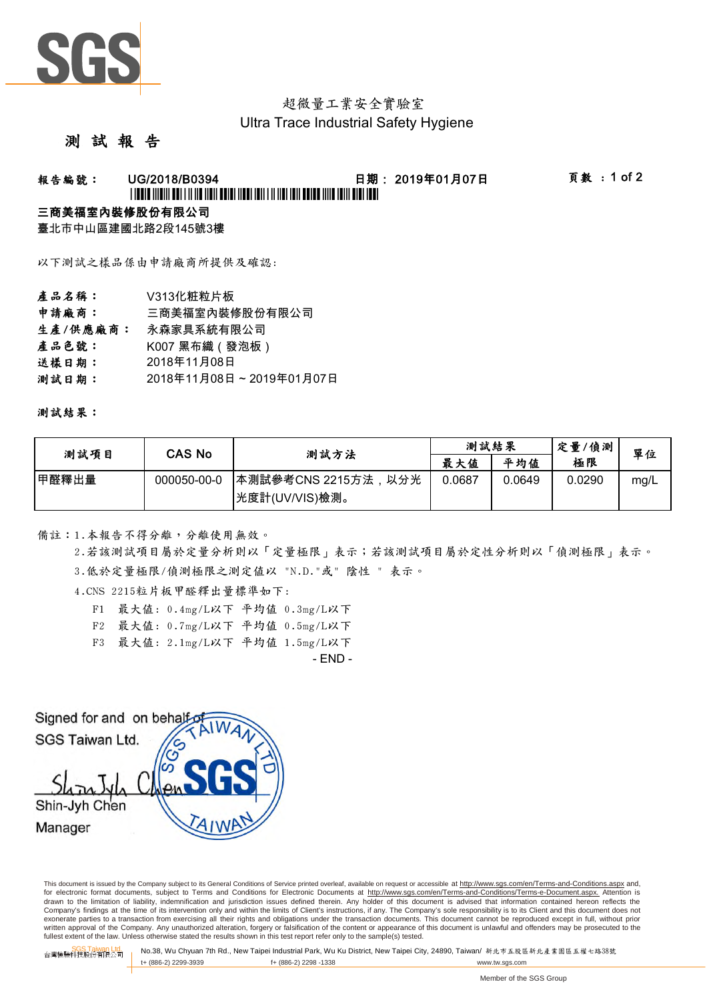

## 超微量工業安全實驗室 Ultra Trace Industrial Safety Hygiene

### 測 試 報 告

# 報告編號: UG/2018/B0394 日期: 2019年01月07日 頁數 : 1 of 2 \*UG/2018/B0394\*

#### 三商美福室內裝修股份有限公司

臺北市中山區建國北路2段145號3樓

以下測試之樣品係由申請廠商所提供及確認:

產品名稱: V313化粧粒片板 申請廠商: 三商美福室內裝修股份有限公司 生產/供應廠商: 永森家具系統有限公司 產品色號: K007 黑布織(發泡板) 送樣日期: 測試日期: 2018年11月08日 2018年11月08日 ~ 2019年01月07日

#### 測試結果:

| 測試項目  | CAS No      | 測試方法                 | 測試結果   |        | 定量/偵測  | 單位   |
|-------|-------------|----------------------|--------|--------|--------|------|
|       |             |                      | 最大值    | 平均值    | 極限     |      |
| 甲醛釋出量 | 000050-00-0 | ┃本測試參考CNS 2215方法,以分光 | 0.0687 | 0.0649 | 0.0290 | mg/L |
|       |             | 快度計(UV/VIS)檢測。       |        |        |        |      |

備註:1.本報告不得分離,分離使用無效。

2.若該測試項目屬於定量分析則以「定量極限」表示;若該測試項目屬於定性分析則以「偵測極限」表示。

3.低於定量極限/偵測極限之測定值以 "N.D."或" 陰性 " 表示。

4.CNS 2215粒片板甲醛釋出量標準如下:

- F1 最大值: 0.4mg/L以下 平均值 0.3mg/L以下
- F2 最大值: 0.7mg/L以下 平均值 0.5mg/L以下
- F3 最大值: 2.1mg/L以下 平均值 1.5mg/L以下

- END -

Signed for and on behalf SGS Taiwan Ltd. Shin-Jyh Chen Manager

This document is issued by the Company subject to its General Conditions of Service printed overleaf, available on request or accessible at http://www.sgs.com/en/Terms-and-Conditions.aspx and, for electronic format documents, subject to Terms and Conditions for Electronic Documents at http://www.sgs.com/en/Terms-and-Conditions/Terms-e-Document.aspx. Attention is drawn to the limitation of liability, indemnification and jurisdiction issues defined therein. Any holder of this document is advised that information contained hereon reflects the Company's findings at the time of its intervention only and within the limits of Client's instructions, if any. The Company's sole responsibility is to its Client and this document does not exonerate parties to a transaction from exercising all their rights and obligations under the transaction documents. This document cannot be reproduced except in full, without prior written approval of the Company. Any unauthorized alteration, forgery or falsification of the content or appearance of this document is unlawful and offenders may be prosecuted to the<br>fullest extent of the law. Unless othe

台灣檢驗科技股<mark>公司 No.38, Wu Chyuan 7th Rd., New Taipei Industrial Park, Wu Ku District, New Taipei City, 24890, Taiwan/ 新北市五股區新北產業園區五權七路38號<br>台灣檢驗科技股份有限公司</mark> t+ (886-2) 2299-3939 f+ (886-2) 2298 -1338 www.tw.sgs.com